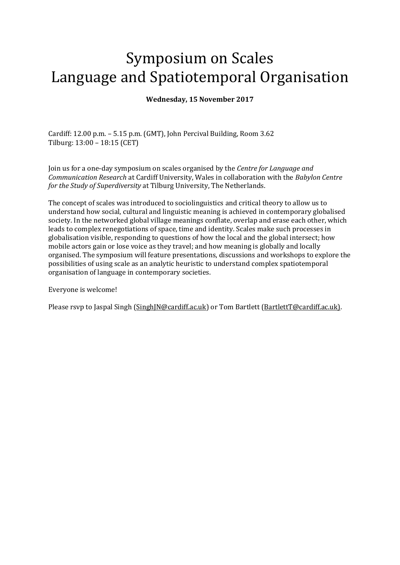# Symposium on Scales Language and Spatiotemporal Organisation

## **Wednesday, 15 November 2017**

Cardiff: 12.00 p.m. – 5.15 p.m. (GMT), John Percival Building, Room 3.62 Tilburg: 13:00 – 18:15 (CET)

Join us for a one-day symposium on scales organised by the *Centre for Language and Communication Research* at Cardiff University, Wales in collaboration with the *Babylon Centre for the Study of Superdiversity* at Tilburg University, The Netherlands.

The concept of scales was introduced to sociolinguistics and critical theory to allow us to understand how social, cultural and linguistic meaning is achieved in contemporary globalised society. In the networked global village meanings conflate, overlap and erase each other, which leads to complex renegotiations of space, time and identity. Scales make such processes in globalisation visible, responding to questions of how the local and the global intersect; how mobile actors gain or lose voice as they travel; and how meaning is globally and locally organised. The symposium will feature presentations, discussions and workshops to explore the possibilities of using scale as an analytic heuristic to understand complex spatiotemporal organisation of language in contemporary societies.

Everyone is welcome!

Please rsvp to Jaspal Singh [\(SinghJN@cardiff.ac.uk\)](mailto:SinghJN@cardiff.ac.uk) or Tom Bartlett [\(BartlettT@cardiff.ac.uk\)](mailto:BartlettT@cardiff.ac.uk).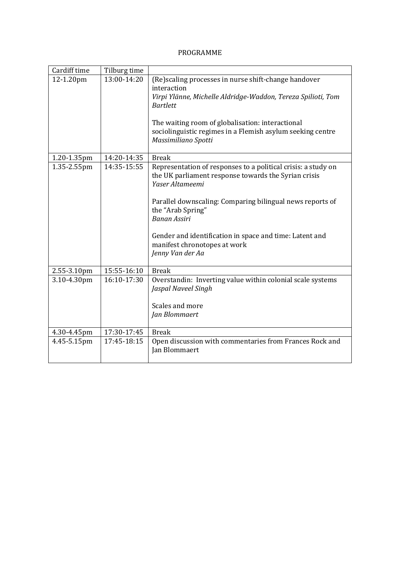## PROGRAMME

| Cardiff time               | Tilburg time               |                                                                                                                                                                                                                                                                                                                                                                  |
|----------------------------|----------------------------|------------------------------------------------------------------------------------------------------------------------------------------------------------------------------------------------------------------------------------------------------------------------------------------------------------------------------------------------------------------|
| 12-1.20pm                  | 13:00-14:20                | (Re) scaling processes in nurse shift-change handover<br>interaction<br>Virpi Ylänne, Michelle Aldridge-Waddon, Tereza Spilioti, Tom<br><b>Bartlett</b><br>The waiting room of globalisation: interactional<br>sociolinguistic regimes in a Flemish asylum seeking centre<br>Massimiliano Spotti                                                                 |
|                            |                            | <b>Break</b>                                                                                                                                                                                                                                                                                                                                                     |
| 1.20-1.35pm<br>1.35-2.55pm | 14:20-14:35<br>14:35-15:55 | Representation of responses to a political crisis: a study on<br>the UK parliament response towards the Syrian crisis<br>Yaser Altameemi<br>Parallel downscaling: Comparing bilingual news reports of<br>the "Arab Spring"<br><b>Banan Assiri</b><br>Gender and identification in space and time: Latent and<br>manifest chronotopes at work<br>Jenny Van der Aa |
| 2.55-3.10pm                | 15:55-16:10                | <b>Break</b>                                                                                                                                                                                                                                                                                                                                                     |
| 3.10-4.30pm                | 16:10-17:30                | Overstandin: Inverting value within colonial scale systems<br>Jaspal Naveel Singh<br>Scales and more<br>Jan Blommaert                                                                                                                                                                                                                                            |
| 4.30-4.45pm                | 17:30-17:45                | <b>Break</b>                                                                                                                                                                                                                                                                                                                                                     |
| 4.45-5.15pm                | 17:45-18:15                | Open discussion with commentaries from Frances Rock and<br>Jan Blommaert                                                                                                                                                                                                                                                                                         |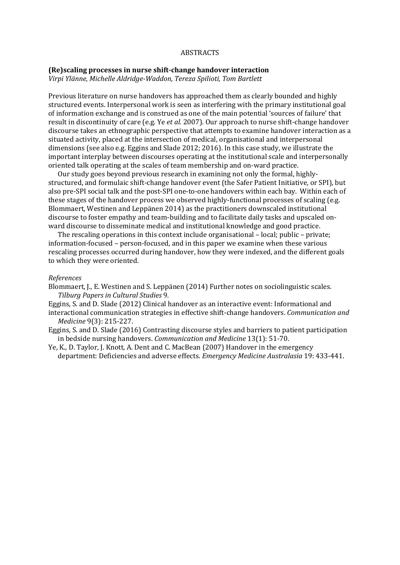#### ABSTRACTS

#### **(Re)scaling processes in nurse shift-change handover interaction**

*Virpi Ylänne, Michelle Aldridge-Waddon, Tereza Spilioti, Tom Bartlett*

Previous literature on nurse handovers has approached them as clearly bounded and highly structured events. Interpersonal work is seen as interfering with the primary institutional goal of information exchange and is construed as one of the main potential 'sources of failure' that result in discontinuity of care (e.g. Ye *et al.* 2007). Our approach to nurse shift-change handover discourse takes an ethnographic perspective that attempts to examine handover interaction as a situated activity, placed at the intersection of medical, organisational and interpersonal dimensions (see also e.g. Eggins and Slade 2012; 2016). In this case study, we illustrate the important interplay between discourses operating at the institutional scale and interpersonally oriented talk operating at the scales of team membership and on-ward practice.

Our study goes beyond previous research in examining not only the formal, highlystructured, and formulaic shift-change handover event (the Safer Patient Initiative, or SPI), but also pre-SPI social talk and the post-SPI one-to-one handovers within each bay. Within each of these stages of the handover process we observed highly-functional processes of scaling (e.g. Blommaert, Westinen and Leppänen 2014) as the practitioners downscaled institutional discourse to foster empathy and team-building and to facilitate daily tasks and upscaled onward discourse to disseminate medical and institutional knowledge and good practice.

The rescaling operations in this context include organisational – local; public – private; information-focused – person-focused, and in this paper we examine when these various rescaling processes occurred during handover, how they were indexed, and the different goals to which they were oriented.

#### *References*

Blommaert, J., E. Westinen and S. Leppänen (2014) Further notes on sociolinguistic scales. *Tilburg Papers in Cultural Studies* 9*.* 

Eggins, S. and D. Slade (2012) Clinical handover as an interactive event: Informational and

interactional communication strategies in effective shift-change handovers. *Communication and Medicine* 9(3): 215-227.

Eggins, S. and D. Slade (2016) Contrasting discourse styles and barriers to patient participation in bedside nursing handovers. *Communication and Medicine* 13(1): 51-70.

Ye, K., D. Taylor, J. Knott, A. Dent and C. MacBean (2007) Handover in the emergency department: Deficiencies and adverse effects. *Emergency Medicine Australasia* 19: 433-441.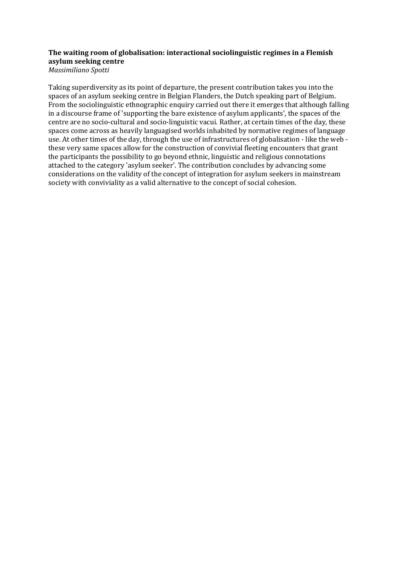## **The waiting room of globalisation: interactional sociolinguistic regimes in a Flemish asylum seeking centre**

*Massimiliano Spotti* 

Taking superdiversity as its point of departure, the present contribution takes you into the spaces of an asylum seeking centre in Belgian Flanders, the Dutch speaking part of Belgium. From the sociolinguistic ethnographic enquiry carried out there it emerges that although falling in a discourse frame of 'supporting the bare existence of asylum applicants', the spaces of the centre are no socio-cultural and socio-linguistic vacui. Rather, at certain times of the day, these spaces come across as heavily languagised worlds inhabited by normative regimes of language use. At other times of the day, through the use of infrastructures of globalisation - like the web these very same spaces allow for the construction of convivial fleeting encounters that grant the participants the possibility to go beyond ethnic, linguistic and religious connotations attached to the category 'asylum seeker'. The contribution concludes by advancing some considerations on the validity of the concept of integration for asylum seekers in mainstream society with conviviality as a valid alternative to the concept of social cohesion.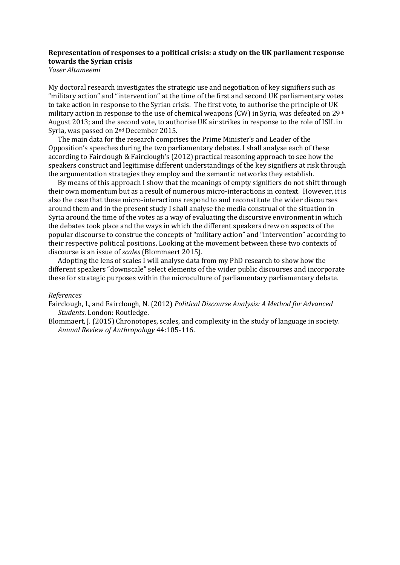## **Representation of responses to a political crisis: a study on the UK parliament response towards the Syrian crisis**

*Yaser Altameemi*

My doctoral research investigates the strategic use and negotiation of key signifiers such as "military action" and "intervention" at the time of the first and second UK parliamentary votes to take action in response to the Syrian crisis. The first vote, to authorise the principle of UK military action in response to the use of chemical weapons (CW) in Syria, was defeated on 29th August 2013; and the second vote, to authorise UK air strikes in response to the role of ISIL in Syria, was passed on 2nd December 2015.

The main data for the research comprises the Prime Minister's and Leader of the Opposition's speeches during the two parliamentary debates. I shall analyse each of these according to Fairclough & Fairclough's (2012) practical reasoning approach to see how the speakers construct and legitimise different understandings of the key signifiers at risk through the argumentation strategies they employ and the semantic networks they establish.

By means of this approach I show that the meanings of empty signifiers do not shift through their own momentum but as a result of numerous micro-interactions in context. However, it is also the case that these micro-interactions respond to and reconstitute the wider discourses around them and in the present study I shall analyse the media construal of the situation in Syria around the time of the votes as a way of evaluating the discursive environment in which the debates took place and the ways in which the different speakers drew on aspects of the popular discourse to construe the concepts of "military action" and "intervention" according to their respective political positions. Looking at the movement between these two contexts of discourse is an issue of *scales* (Blommaert 2015).

Adopting the lens of scales I will analyse data from my PhD research to show how the different speakers "downscale" select elements of the wider public discourses and incorporate these for strategic purposes within the microculture of parliamentary parliamentary debate.

#### *References*

Fairclough, I., and Fairclough, N. (2012) *Political Discourse Analysis: A Method for Advanced Students*. London: Routledge.

Blommaert, J. (2015) Chronotopes, scales, and complexity in the study of language in society. *Annual Review of Anthropology* 44:105-116.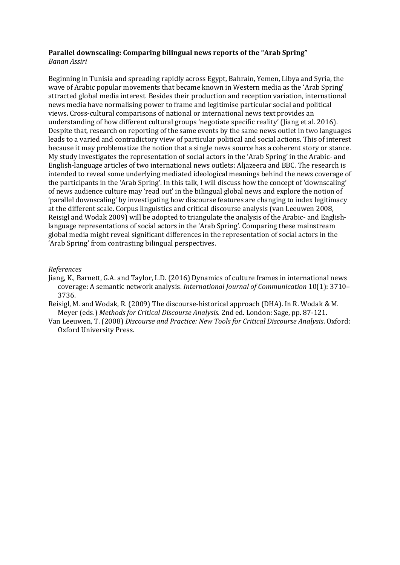#### **Parallel downscaling: Comparing bilingual news reports of the "Arab Spring"** *Banan Assiri*

Beginning in Tunisia and spreading rapidly across Egypt, Bahrain, Yemen, Libya and Syria, the wave of Arabic popular movements that became known in Western media as the 'Arab Spring' attracted global media interest. Besides their production and reception variation, international news media have normalising power to frame and legitimise particular social and political views. Cross-cultural comparisons of national or international news text provides an understanding of how different cultural groups 'negotiate specific reality' (Jiang et al. 2016). Despite that, research on reporting of the same events by the same news outlet in two languages leads to a varied and contradictory view of particular political and social actions. This of interest because it may problematize the notion that a single news source has a coherent story or stance. My study investigates the representation of social actors in the 'Arab Spring' in the Arabic- and English-language articles of two international news outlets: Aljazeera and BBC. The research is intended to reveal some underlying mediated ideological meanings behind the news coverage of the participants in the 'Arab Spring'. In this talk, I will discuss how the concept of 'downscaling' of news audience culture may 'read out' in the bilingual global news and explore the notion of 'parallel downscaling' by investigating how discourse features are changing to index legitimacy at the different scale. Corpus linguistics and critical discourse analysis (van Leeuwen 2008, Reisigl and Wodak 2009) will be adopted to triangulate the analysis of the Arabic- and Englishlanguage representations of social actors in the 'Arab Spring'. Comparing these mainstream global media might reveal significant differences in the representation of social actors in the 'Arab Spring' from contrasting bilingual perspectives.

## *References*

Jiang, K., Barnett, G.A. and Taylor, L.D. (2016) Dynamics of culture frames in international news coverage: A semantic network analysis. *International Journal of Communication* 10(1): 3710– 3736.

Reisigl, M. and Wodak, R. (2009) The discourse-historical approach (DHA). In R. Wodak & M. Meyer (eds.) *Methods for Critical Discourse Analysis.* 2nd ed. London: Sage, pp. 87-121.

Van Leeuwen, T. (2008) *Discourse and Practice: New Tools for Critical Discourse Analysis*. Oxford: Oxford University Press.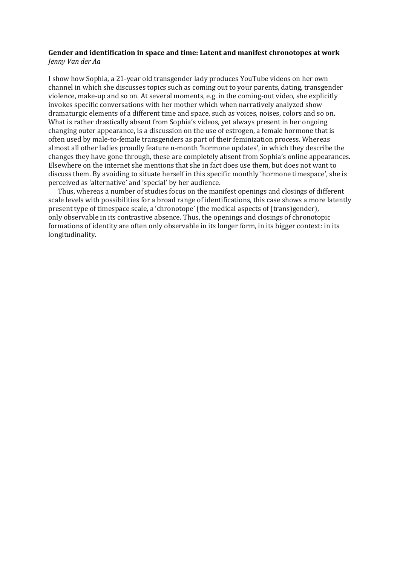### **Gender and identification in space and time: Latent and manifest chronotopes at work** *Jenny Van der Aa*

I show how Sophia, a 21-year old transgender lady produces YouTube videos on her own channel in which she discusses topics such as coming out to your parents, dating, transgender violence, make-up and so on. At several moments, e.g. in the coming-out video, she explicitly invokes specific conversations with her mother which when narratively analyzed show dramaturgic elements of a different time and space, such as voices, noises, colors and so on. What is rather drastically absent from Sophia's videos, yet always present in her ongoing changing outer appearance, is a discussion on the use of estrogen, a female hormone that is often used by male-to-female transgenders as part of their feminization process. Whereas almost all other ladies proudly feature n-month 'hormone updates', in which they describe the changes they have gone through, these are completely absent from Sophia's online appearances. Elsewhere on the internet she mentions that she in fact does use them, but does not want to discuss them. By avoiding to situate herself in this specific monthly 'hormone timespace', she is perceived as 'alternative' and 'special' by her audience.

Thus, whereas a number of studies focus on the manifest openings and closings of different scale levels with possibilities for a broad range of identifications, this case shows a more latently present type of timespace scale, a 'chronotope' (the medical aspects of (trans)gender), only observable in its contrastive absence. Thus, the openings and closings of chronotopic formations of identity are often only observable in its longer form, in its bigger context: in its longitudinality.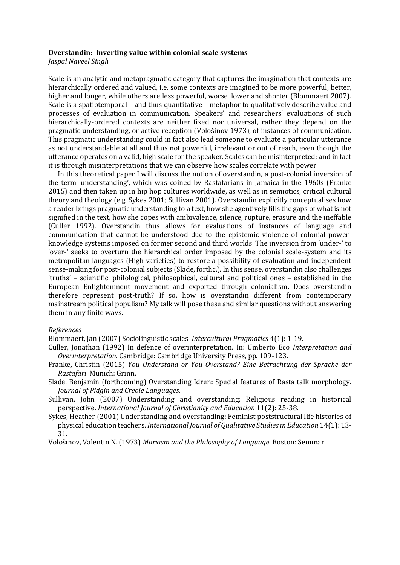#### **Overstandin: Inverting value within colonial scale systems**

*Jaspal Naveel Singh*

Scale is an analytic and metapragmatic category that captures the imagination that contexts are hierarchically ordered and valued, i.e. some contexts are imagined to be more powerful, better, higher and longer, while others are less powerful, worse, lower and shorter (Blommaert 2007). Scale is a spatiotemporal – and thus quantitative – metaphor to qualitatively describe value and processes of evaluation in communication. Speakers' and researchers' evaluations of such hierarchically-ordered contexts are neither fixed nor universal, rather they depend on the pragmatic understanding, or active reception (Vološinov 1973), of instances of communication. This pragmatic understanding could in fact also lead someone to evaluate a particular utterance as not understandable at all and thus not powerful, irrelevant or out of reach, even though the utterance operates on a valid, high scale for the speaker. Scales can be misinterpreted; and in fact it is through misinterpretations that we can observe how scales correlate with power.

In this theoretical paper I will discuss the notion of overstandin, a post-colonial inversion of the term 'understanding', which was coined by Rastafarians in Jamaica in the 1960s (Franke 2015) and then taken up in hip hop cultures worldwide, as well as in semiotics, critical cultural theory and theology (e.g. Sykes 2001; Sullivan 2001). Overstandin explicitly conceptualises how a reader brings pragmatic understanding to a text, how she agentively fills the gaps of what is not signified in the text, how she copes with ambivalence, silence, rupture, erasure and the ineffable (Culler 1992). Overstandin thus allows for evaluations of instances of language and communication that cannot be understood due to the epistemic violence of colonial powerknowledge systems imposed on former second and third worlds. The inversion from 'under-' to 'over-' seeks to overturn the hierarchical order imposed by the colonial scale-system and its metropolitan languages (High varieties) to restore a possibility of evaluation and independent sense-making for post-colonial subjects (Slade, forthc.). In this sense, overstandin also challenges 'truths' – scientific, philological, philosophical, cultural and political ones – established in the European Enlightenment movement and exported through colonialism. Does overstandin therefore represent post-truth? If so, how is overstandin different from contemporary mainstream political populism? My talk will pose these and similar questions without answering them in any finite ways.

#### *References*

Blommaert, Jan (2007) Sociolinguistic scales. *Intercultural Pragmatics* 4(1): 1-19.

- Culler, Jonathan (1992) In defence of overinterpretation. In: Umberto Eco *Interpretation and Overinterpretation*. Cambridge: Cambridge University Press, pp. 109-123.
- Franke, Christin (2015) *You Understand or You Overstand? Eine Betrachtung der Sprache der Rastafari*. Munich: Grinn.
- Slade, Benjamin (forthcoming) Overstanding Idren: Special features of Rasta talk morphology. *Journal of Pidgin and Creole Languages*.
- Sullivan, John (2007) Understanding and overstanding: Religious reading in historical perspective. *International Journal of Christianity and Education* 11(2): 25-38.
- Sykes, Heather (2001) Understanding and overstanding: Feminist poststructural life histories of physical education teachers. *International Journal of Qualitative Studies in Education* 14(1): 13- 31.

Vološinov, Valentin N. (1973) *Marxism and the Philosophy of Language*. Boston: Seminar.